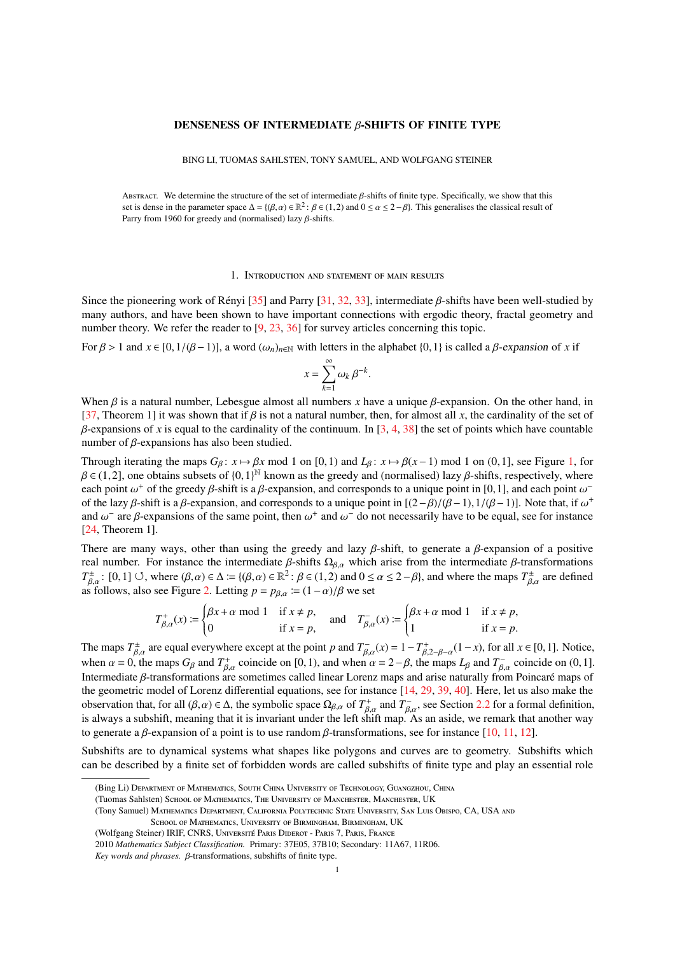## DENSENESS OF INTERMEDIATE  $\beta$ -SHIFTS OF FINITE TYPE

BING LI, TUOMAS SAHLSTEN, TONY SAMUEL, AND WOLFGANG STEINER

ABSTRACT. We determine the structure of the set of intermediate  $\beta$ -shifts of finite type. Specifically, we show that this set is dense in the parameter space  $\Delta = \{(\beta, \alpha) \in \mathbb{R}^2 : \beta \in (1, 2) \text{ and } 0 \le \alpha \le 2 - \beta\}$ . This generalises the classical result of Pary from 1960 for greedy and (pormalised) lazy  $\beta$  shifts Parry from 1960 for greedy and (normalised) lazy  $\beta$ -shifts.

#### 1. Introduction and statement of main results

Since the pioneering work of Rényi [[35\]](#page-6-0) and Parry [\[31,](#page-6-1) [32,](#page-6-2) [33\]](#page-6-3), intermediate  $\beta$ -shifts have been well-studied by many authors, and have been shown to have important connections with ergodic theory, fractal geometry and number theory. We refer the reader to [\[9,](#page-6-4) [23,](#page-6-5) [36\]](#page-6-6) for survey articles concerning this topic.

For  $\beta > 1$  and  $x \in [0, 1/(\beta - 1)]$ , a word  $(\omega_n)_{n \in \mathbb{N}}$  with letters in the alphabet  $\{0, 1\}$  is called a  $\beta$ -expansion of *x* if

$$
x = \sum_{k=1}^{\infty} \omega_k \beta^{-k}.
$$

When β is a natural number, Lebesgue almost all numbers *<sup>x</sup>* have a unique β-expansion. On the other hand, in [\[37,](#page-6-7) Theorem 1] it was shown that if  $\beta$  is not a natural number, then, for almost all x, the cardinality of the set of β-expansions of *<sup>x</sup>* is equal to the cardinality of the continuum. In [\[3,](#page-5-0) [4,](#page-5-1) [38\]](#page-6-8) the set of points which have countable number of  $β$ -expansions has also been studied.

Through iterating the maps  $G_\beta$ :  $x \mapsto \beta x$  mod 1 on [0,1) and  $L_\beta$ :  $x \mapsto \beta(x-1)$  mod 1 on (0,1], see Figure [1,](#page-1-0) for  $\beta \in (1, 2]$ , one obtains subsets of  $\{0, 1\}^N$  known as the greedy and (normalised) lazy  $\beta$ -shifts, respectively, where each point  $\omega^+$  of the greedy  $\beta$ -shift is a  $\beta$ -expansion, and corresponds to a unique point in [0,1], and each point  $\omega^-$ <br>of the lazy  $\beta$ -shift is a  $\beta$ -expansion, and corresponds to a unique point in  $[(2 - \beta)/(8 - 1$ of the lazy β-shift is a β-expansion, and corresponds to a unique point in  $[(2 - β)/(β - 1), 1/(β - 1)]$ . Note that, if  $ω^+$ <br>and  $ω^-$  are β-expansions of the same point, then  $ω^+$  and  $ω^-$  do not necessarily have to be equal, s and  $\omega^-$  are  $\beta$ -expansions of the same point, then  $\omega^+$  and  $\omega^-$  do not necessarily have to be equal, see for instance  $\frac{124}{\pi}$ . Theorem 11 [\[24,](#page-6-9) Theorem 1].

There are many ways, other than using the greedy and lazy  $\beta$ -shift, to generate a  $\beta$ -expansion of a positive real number. For instance the intermediate β-shifts  $\Omega_{\beta,\alpha}$  which arise from the intermediate β-transformations  $T^{\pm}_{\beta,\alpha}$ : [0,1]  $\circlearrowleft$ , where  $(\beta,\alpha) \in \Delta := \{(\beta,\alpha) \in \mathbb{R}^2 : \beta \in (1,2) \text{ and } 0 \leq \alpha \leq 2-\beta\}$ , and where the maps  $T^{\pm}_{\beta,\alpha}$  are defined as follows also see Figure 2. Letting  $n = n_{\alpha} := (1-\alpha)/\beta$  we set as follows, also see Figure [2.](#page-1-1) Letting  $p = p_{\beta,\alpha} := (1-\alpha)/\beta$  we set

$$
T_{\beta,\alpha}^+(x) := \begin{cases} \beta x + \alpha \text{ mod } 1 & \text{if } x \neq p, \\ 0 & \text{if } x = p, \end{cases} \text{ and } T_{\beta,\alpha}^-(x) := \begin{cases} \beta x + \alpha \text{ mod } 1 & \text{if } x \neq p, \\ 1 & \text{if } x = p. \end{cases}
$$

The maps  $T_{\beta,\alpha}^{\pm}$  are equal everywhere except at the point *p* and  $T_{\beta,\alpha}^{\pm}(x) = 1 - T_{\beta,2-\beta-\alpha}^{\pm}(1-x)$ , for all  $x \in [0,1]$ . Notice,<br>when  $\alpha = 0$ , the maps *G*<sub>1</sub> and  $T^{\pm}$ , coincide on [0,1], and when  $\alpha = 2$ , *β* when  $\alpha = 0$ , the maps  $G_\beta$  and  $T_{\beta,\alpha}^+$  coincide on [0,1), and when  $\alpha = 2 - \beta$ , the maps  $L_\beta$  and  $T_{\beta,\alpha}^-$  coincide on (0,1). Intermediate  $\beta$ -transformations are sometimes called linear Lorenz maps and arise naturally from Poincaré maps of the geometric model of Lorenz differential equations, see for instance [\[14,](#page-6-10) [29,](#page-6-11) [39,](#page-6-12) [40\]](#page-6-13). Here, let us also make the observation that, for all  $(\beta, \alpha) \in \Delta$ , the symbolic space  $\Omega_{\beta,\alpha}$  of  $T^+_{\beta,\alpha}$  and  $T^-_{\beta,\alpha}$ , see Section [2.2](#page-2-0) for a formal definition, is always a subshift, meaning that it is invariant under the left shift map. As to generate a  $\beta$ -expansion of a point is to use random  $\beta$ -transformations, see for instance [\[10,](#page-6-14) [11,](#page-6-15) [12\]](#page-6-16).

Subshifts are to dynamical systems what shapes like polygons and curves are to geometry. Subshifts which can be described by a finite set of forbidden words are called subshifts of finite type and play an essential role

<sup>(</sup>Bing Li) Department of Mathematics, South China University of Technology, Guangzhou, China

<sup>(</sup>Tuomas Sahlsten) School of Mathematics, The University of Manchester, Manchester, UK

<sup>(</sup>Tony Samuel) Mathematics Department, California Polytechnic State University, San Luis Obispo, CA, USA and

School of Mathematics, University of Birmingham, Birmingham, UK

<sup>(</sup>Wolfgang Steiner) IRIF, CNRS, UNIVERSITÉ PARIS DIDEROT - PARIS 7, PARIS, FRANCE

<sup>2010</sup> *Mathematics Subject Classification.* Primary: 37E05, 37B10; Secondary: 11A67, 11R06.

*Key words and phrases.* β-transformations, subshifts of finite type.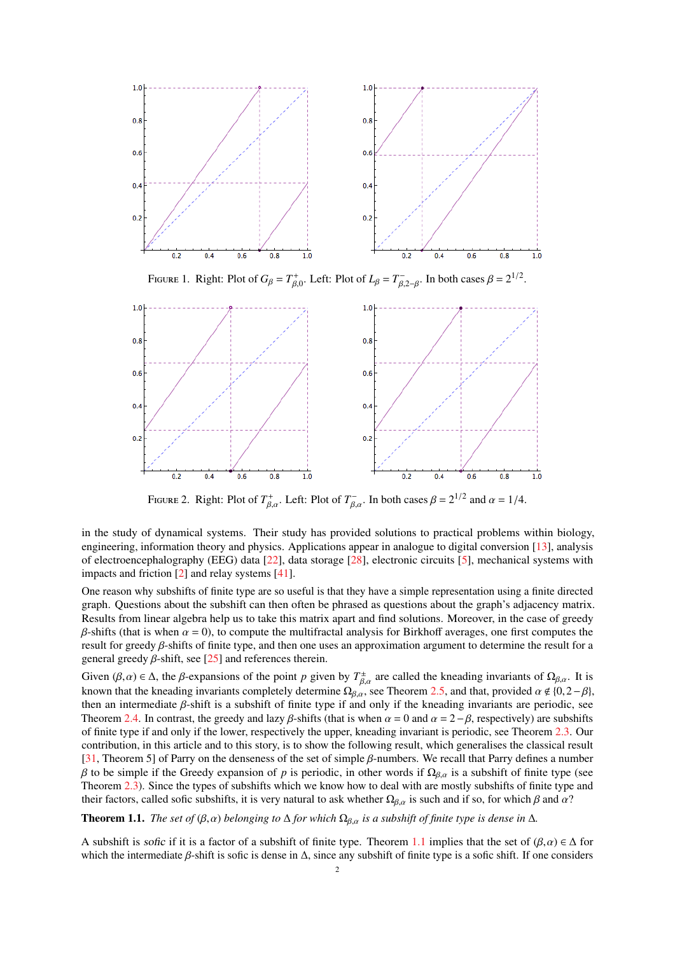<span id="page-1-0"></span>

FIGURE 1. Right: Plot of  $G_\beta = T^+_{\beta,0}$ . Left: Plot of  $L_\beta = T^-_{\beta,2-\beta}$ . In both cases  $\beta = 2^{1/2}$ .

<span id="page-1-1"></span>

FIGURE 2. Right: Plot of  $T_{\beta,\alpha}^+$ . Left: Plot of  $T_{\beta,\alpha}^-$ . In both cases  $\beta = 2^{1/2}$  and  $\alpha = 1/4$ .

in the study of dynamical systems. Their study has provided solutions to practical problems within biology, engineering, information theory and physics. Applications appear in analogue to digital conversion [\[13\]](#page-6-17), analysis of electroencephalography (EEG) data [\[22\]](#page-6-18), data storage [\[28\]](#page-6-19), electronic circuits [\[5\]](#page-6-20), mechanical systems with impacts and friction [\[2\]](#page-5-2) and relay systems [\[41\]](#page-6-21).

One reason why subshifts of finite type are so useful is that they have a simple representation using a finite directed graph. Questions about the subshift can then often be phrased as questions about the graph's adjacency matrix. Results from linear algebra help us to take this matrix apart and find solutions. Moreover, in the case of greedy β-shifts (that is when  $\alpha = 0$ ), to compute the multifractal analysis for Birkhoff averages, one first computes the result for greedy β-shifts of finite type, and then one uses an approximation argument to determine the result for a general greedy  $β$ -shift, see [\[25\]](#page-6-22) and references therein.

Given (β, α)  $\in \Delta$ , the β-expansions of the point *p* given by  $T^{\pm}_{\beta,\alpha}$  are called the kneading invariants of  $\Omega_{\beta,\alpha}$ . It is<br>known that the kneading invariants completely determine  $\Omega_{\alpha}$  are Theorem 2.5, and th known that the kneading invariants completely determine  $\Omega_{\beta,\alpha}$ , see Theorem [2.5,](#page-3-0) and that, provided  $\alpha \notin \{0,2-\beta\}$ , then an intermediate β-shift is a subshift of finite type if and only if the kneading invariants are periodic, see Theorem [2.4.](#page-3-1) In contrast, the greedy and lazy  $\beta$ -shifts (that is when  $\alpha = 0$  and  $\alpha = 2 - \beta$ , respectively) are subshifts of finite type if and only if the lower, respectively the upper, kneading invariant is periodic, see Theorem [2.3.](#page-3-2) Our contribution, in this article and to this story, is to show the following result, which generalises the classical result [\[31,](#page-6-1) Theorem 5] of Parry on the denseness of the set of simple β-numbers. We recall that Parry defines a number β to be simple if the Greedy expansion of *p* is periodic, in other words if  $\Omega_{\beta,\alpha}$  is a subshift of finite type (see Theorem [2.3\)](#page-3-2). Since the types of subshifts which we know how to deal with are mostly subshifts of finite type and their factors, called sofic subshifts, it is very natural to ask whether  $\Omega_{\beta,\alpha}$  is such and if so, for which  $\beta$  and  $\alpha$ ?

<span id="page-1-2"></span>**Theorem 1.1.** *The set of* ( $\beta, \alpha$ ) *belonging to*  $\Delta$  *for which*  $\Omega_{\beta,\alpha}$  *is a subshift of finite type is dense in*  $\Delta$ *.* 

A subshift is sofic if it is a factor of a subshift of finite type. Theorem [1.1](#page-1-2) implies that the set of  $(\beta, \alpha) \in \Delta$  for which the intermediate  $\beta$ -shift is sofic is dense in  $\Delta$ , since any subshift of finite type is a sofic shift. If one considers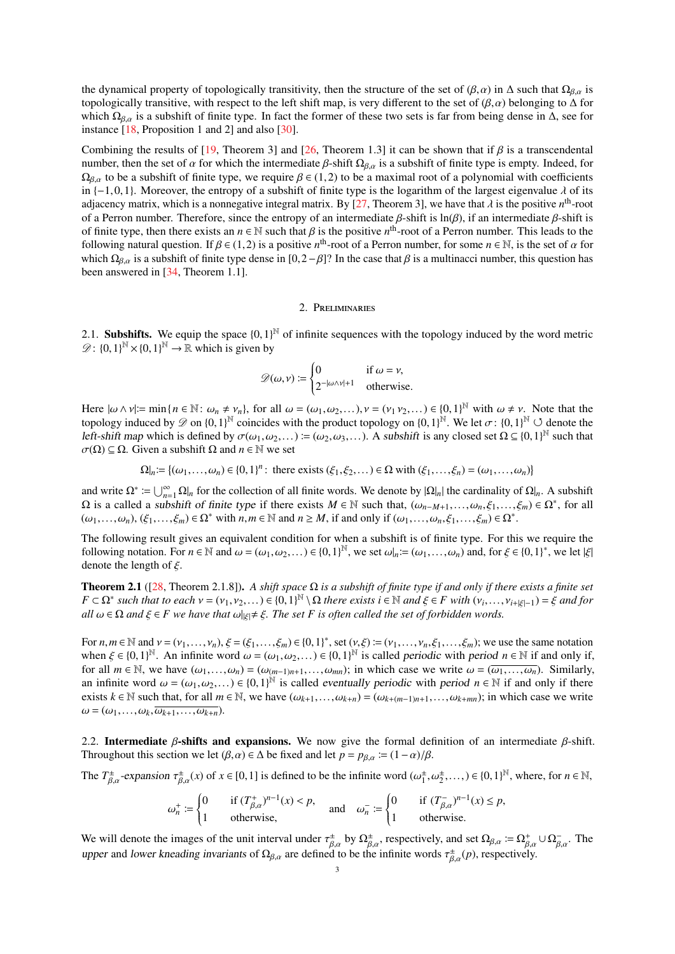the dynamical property of topologically transitivity, then the structure of the set of  $(\beta, \alpha)$  in  $\Delta$  such that  $\Omega_{\beta, \alpha}$  is topologically transitive, with respect to the left shift map, is very different to the set of  $(\beta, \alpha)$  belonging to  $\Delta$  for which  $\Omega_{\beta,\alpha}$  is a subshift of finite type. In fact the former of these two sets is far from being dense in  $\Delta$ , see for instance [\[18,](#page-6-23) Proposition 1 and 2] and also [\[30\]](#page-6-24).

Combining the results of [\[19,](#page-6-25) Theorem 3] and [\[26,](#page-6-26) Theorem 1.3] it can be shown that if  $\beta$  is a transcendental number, then the set of  $\alpha$  for which the intermediate  $\beta$ -shift  $\Omega_{\beta,\alpha}$  is a subshift of finite type is empty. Indeed, for  $\Omega_{\beta,\alpha}$  to be a subshift of finite type, we require  $\beta \in (1,2)$  to be a maximal root of a polynomial with coefficients in  $\{-1,0,1\}$ . Moreover, the entropy of a subshift of finite type is the logarithm of the largest eigenvalue  $\lambda$  of its adjacency matrix, which is a nonnegative integral matrix. By [\[27,](#page-6-27) Theorem 3], we have that  $\lambda$  is the positive  $n^{\text{th}}$ -root of a Perron number. Therefore, since the entrony of an intermediate *R*-shift is  $\ln(\beta)$  if an of a Perron number. Therefore, since the entropy of an intermediate  $\beta$ -shift is ln( $\beta$ ), if an intermediate  $\beta$ -shift is of finite type, then there exists an  $n \in \mathbb{N}$  such that  $\beta$  is the positive  $n^{\text{th}}$ -root of a Perron number. This leads to the following natural question. If  $\beta \in (1, 2)$  is a positive  $n^{\text{th}}$ -root of a Perron num following natural question. If  $\beta \in (1,2)$  is a positive *n*<sup>th</sup>-root of a Perron number, for some  $n \in \mathbb{N}$ , is the set of  $\alpha$  for which  $\Omega$  is a subshift of finite type dense in [0, 2 –  $\beta$ ]? In the case that  $\beta$  which  $\Omega_{\beta,\alpha}$  is a subshift of finite type dense in [0,2−β]? In the case that  $\beta$  is a multinacci number, this question has been answered in [\[34,](#page-6-28) Theorem 1.1].

## 2. Preliminaries

2.1. **Subshifts.** We equip the space  $\{0,1\}^{\mathbb{N}}$  of infinite sequences with the topology induced by the word metric  $\mathcal{D}: 10,1\mathbb{N} \times 10,1\mathbb{N} \to \mathbb{R}$  which is given by  $\mathscr{D} \colon \{0,1\}^{\mathbb{N}} \times \{0,1\}^{\mathbb{N}} \to \mathbb{R}$  which is given by

$$
\mathscr{D}(\omega,\nu) := \begin{cases} 0 & \text{if } \omega = \nu, \\ 2^{-|\omega \wedge \nu|+1} & \text{otherwise.} \end{cases}
$$

Here  $|\omega \wedge \nu| = \min\{n \in \mathbb{N} : \omega_n \neq \nu_n\}$ , for all  $\omega = (\omega_1, \omega_2, \dots)$ ,  $\nu = (\nu_1 \nu_2, \dots) \in \{0, 1\}^{\mathbb{N}}$  with  $\omega \neq \nu$ . Note that the troplogy induced by  $\emptyset$  on  $\{0, 1\}^{\mathbb{N}}$  coincides with the product topology on topology induced by  $\mathscr{D}$  on  $\{0,1\}^{\mathbb{N}}$  coincides with the product topology on  $\{0,1\}^{\mathbb{N}}$ . We let  $\sigma$ :  $\{0,1\}^{\mathbb{N}}$   $\cup$  denote the left-shift man which is defined by  $\sigma(\omega, \omega) = (\omega_0, \omega_1)$ . A subshift left-shift map which is defined by  $\sigma(\omega_1, \omega_2, ...)$  =  $(\omega_2, \omega_3, ...)$ . A subshift is any closed set  $\Omega \subseteq \{0,1\}^{\mathbb{N}}$  such that  $\sigma(\Omega) \subset \Omega$  Given a subshift  $\Omega$  and  $n \in \mathbb{N}$  we set  $\sigma(\Omega) \subseteq \Omega$ . Given a subshift  $\Omega$  and  $n \in \mathbb{N}$  we set

 $\Omega|_n = \{(\omega_1, ..., \omega_n) \in \{0, 1\}^n : \text{ there exists } (\xi_1, \xi_2, ...) \in \Omega \text{ with } (\xi_1, ..., \xi_n) = (\omega_1, ..., \omega_n)\}\$ 

and write  $\Omega^* := \bigcup_{n=1}^{\infty} \Omega \vert_n$  for the collection of all finite words. We denote by  $|\Omega|_n$  the cardinality of  $\Omega \vert_n$ . A subshift  $Ω$  is a called a *subshift of finite type* if there exists *M* ∈ N such that,  $(ω_n - M + 1, ..., ω_n, ξ_1, ..., ξ_m) ∈ Ω^*$ , for all  $(ω_1 - ω_1) ∈ Ω^*$ ,  $(ω_1 - χ_1) ∈ Ω^*$ ,  $(ω_1 - χ_1) ∈ Ω^*$  $(\omega_1,\ldots,\omega_n), (\xi_1,\ldots,\xi_m) \in \Omega^*$  with  $n,m \in \mathbb{N}$  and  $n \ge M$ , if and only if  $(\omega_1,\ldots,\omega_n,\xi_1,\ldots,\xi_m) \in \Omega^*$ .

The following result gives an equivalent condition for when a subshift is of finite type. For this we require the following notation. For  $n \in \mathbb{N}$  and  $\omega = (\omega_1, \omega_2, ...) \in \{0, 1\}^{\mathbb{N}}$ , we set  $\omega|_n := (\omega_1, ..., \omega_n)$  and, for  $\xi \in \{0, 1\}^*$ , we let  $|\xi|$ denote the length of  $\xi$ .

**Theorem 2.1** ([\[28,](#page-6-19) Theorem 2.1.8]). *A shift space*  $\Omega$  *is a subshift of finite type if and only if there exists a finite set*  $F \subset \Omega^*$  such that to each  $v = (v_1, v_2, ...) \in \{0, 1\}^{\mathbb{N}} \setminus \Omega$  there exists  $i \in \mathbb{N}$  and  $\xi \in F$  with  $(v_i, ..., v_{i+\vert \xi \vert -1}) = \xi$  and for<br>all  $\omega \in \Omega$  and  $\xi \in F$  we have that  $\omega \mapsto \xi$ . The set *F* is often called the set  $all \omega \in \Omega$  *and*  $\xi \in F$  we have that  $\omega|_{\xi} \neq \xi$ . The set F is often called the set of forbidden words.

For  $n, m \in \mathbb{N}$  and  $v = (v_1, \ldots, v_n), \xi = (\xi_1, \ldots, \xi_m) \in \{0, 1\}^*$ , set  $(v, \xi) := (v_1, \ldots, v_n, \xi_1, \ldots, \xi_m)$ ; we use the same notation when  $\xi \in \{0, 1\}^{\mathbb{N}}$ . An infinite word  $\omega = (\omega_1, \omega_2, \ldots) \in \{0, 1\}^{\mathbb{N}}$  is call when  $\xi \in \{0,1\}^{\mathbb{N}}$ . An infinite word  $\omega = (\omega_1, \omega_2, ...) \in \{0,1\}^{\mathbb{N}}$  is called periodic with period  $n \in \mathbb{N}$  if and only if, for all  $m \in \mathbb{N}$  we have  $(\omega_1, \omega_2, ...) = (\omega_{\omega_1}, \omega_{\omega_2})$  in which case we write  $\omega$ for all  $m \in \mathbb{N}$ , we have  $(\omega_1, \ldots, \omega_n) = (\omega_{(m-1)n+1}, \ldots, \omega_{mn})$ ; in which case we write  $\omega = (\overline{\omega_1, \ldots, \omega_n})$ . Similarly, an infinite word  $\omega = (\omega_1, \omega_2, ...) \in \{0,1\}^{\tilde{N}}$  is called eventually periodic with period  $n \in \mathbb{N}$  if and only if there exists  $k \in \mathbb{N}$  such that for all  $m \in \mathbb{N}$  we have  $(\omega_k, \omega_k) = (\omega_k, \omega_k, \omega_k)$  in which case w exists  $k \in \mathbb{N}$  such that, for all  $m \in \mathbb{N}$ , we have  $(\omega_{k+1}, \ldots, \omega_{k+n}) = (\omega_{k+(m-1)n+1}, \ldots, \omega_{k+mn})$ ; in which case we write  $\omega = (\omega_1, \ldots, \omega_k, \overline{\omega_{k+1}, \ldots, \omega_{k+n}}).$ 

<span id="page-2-0"></span>2.2. Intermediate  $\beta$ -shifts and expansions. We now give the formal definition of an intermediate  $\beta$ -shift. Throughout this section we let  $(\beta, \alpha) \in \Delta$  be fixed and let  $p = p_{\beta,\alpha} := (1 - \alpha)/\beta$ .

The  $T^{\pm}_{\beta,\alpha}$ -expansion  $\tau^{\pm}_{\beta,\alpha}(x)$  of  $x \in [0,1]$  is defined to be the infinite word  $(\omega_1^{\pm}, \omega_2^{\pm}, \dots) \in \{0,1\}^{\mathbb{N}}$ , where, for  $n \in \mathbb{N}$ ,

$$
\omega_n^+ := \begin{cases} 0 & \text{if } (T_{\beta,\alpha}^+)^{n-1}(x) < p, \\ 1 & \text{otherwise,} \end{cases} \quad \text{and} \quad \omega_n^- := \begin{cases} 0 & \text{if } (T_{\beta,\alpha}^-)^{n-1}(x) \le p, \\ 1 & \text{otherwise.} \end{cases}
$$

<span id="page-2-1"></span>We will denote the images of the unit interval under  $\tau_{\beta,\alpha}^{\pm}$  by  $\Omega_{\beta,\alpha}^{\pm}$ , respectively, and set  $\Omega_{\beta,\alpha} := \Omega_{\beta,\alpha}^{\pm} \cup \Omega_{\beta,\alpha}^{-}$ . The unper and lower kneading invariants of  $\Omega_{\beta,\alpha}$  are defined to be the upper and lower kneading invariants of  $\Omega_{\beta,\alpha}$  are defined to be the infinite words  $\tau_{\beta,\alpha}^+(p)$ , respectively.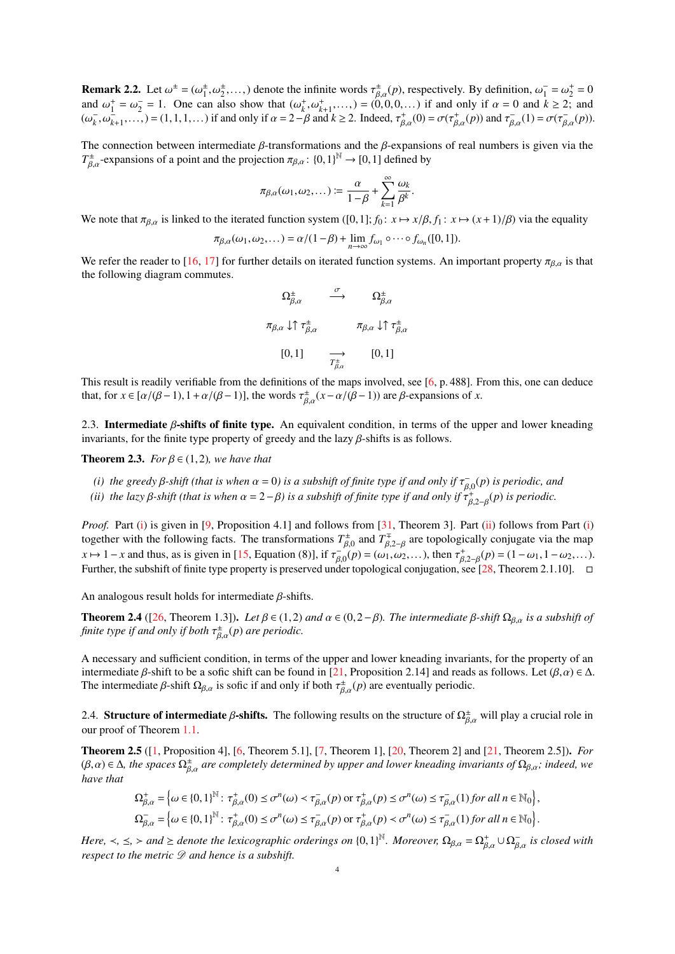**Remark 2.2.** Let  $\omega^{\pm} = (\omega_1^{\pm}, \omega_2^{\pm}, \dots)$  denote the infinite words  $\tau_{\beta,\alpha}^{\pm}(p)$ , respectively. By definition,  $\omega_1^{-} = \omega_2^{+} = 0$ <br>and  $\omega^{\pm} = \omega_1^{-} = 1$ . One can also show that  $(\omega^{\pm}, \omega^{\pm}) = (0, 0, 0, \dots)$  if and and  $\omega_1^+ = \omega_2^- = 1$ . One can also show that  $(\omega_k^+, \omega_{k+1}^+, \dots, ) = (0, 0, 0, \dots)$  if and only if  $\alpha = 0$  and  $k \ge 2$ ; and  $(\omega_k^- = (1, 1, 1, \dots))$  if and only if  $\alpha = 2 - 8$  and  $k > 2$ . Indeed  $\tau^+ = (0, \dots)$  and  $\tau^- = (1, \dots) = \sigma(\tau^- =$  $(\omega_k^-, \omega_{k+1}^+, \dots, ) = (1, 1, 1, \dots)$  if and only if  $\alpha = 2 - \beta$  and  $k \ge 2$ . Indeed,  $\tau_{\beta,\alpha}^+(0) = \sigma(\tau_{\beta,\alpha}^+(p))$  and  $\tau_{\beta,\alpha}^-(1) = \sigma(\tau_{\beta,\alpha}^-(p))$ .

The connection between intermediate  $\beta$ -transformations and the  $\beta$ -expansions of real numbers is given via the *T*<sup>±</sup><sub>β,α</sub>-expansions of a point and the projection  $π_{β,α}$ : {0,1}<sup>N</sup> → [0,1] defined by

$$
\pi_{\beta,\alpha}(\omega_1,\omega_2,\dots) := \frac{\alpha}{1-\beta} + \sum_{k=1}^{\infty} \frac{\omega_k}{\beta^k}.
$$

We note that  $\pi_{\beta,\alpha}$  is linked to the iterated function system ([0,1];  $f_0: x \mapsto x/\beta, f_1: x \mapsto (x+1)/\beta$ ) via the equality

$$
\pi_{\beta,\alpha}(\omega_1,\omega_2,\ldots)=\alpha/(1-\beta)+\lim_{n\to\infty}f_{\omega_1}\circ\cdots\circ f_{\omega_n}([0,1]).
$$

We refer the reader to [\[16,](#page-6-29) [17\]](#page-6-30) for further details on iterated function systems. An important property  $\pi_{\beta,\alpha}$  is that the following diagram commutes.

$$
\Omega_{\beta,\alpha}^{\pm} \xrightarrow{\sigma} \Omega_{\beta,\alpha}^{\pm}
$$
  
\n
$$
\pi_{\beta,\alpha} \downarrow \uparrow \tau_{\beta,\alpha}^{\pm} \qquad \pi_{\beta,\alpha} \downarrow \uparrow \tau_{\beta,\alpha}^{\pm}
$$
  
\n
$$
[0,1] \xrightarrow{\longrightarrow} [0,1]
$$

This result is readily verifiable from the definitions of the maps involved, see [\[6,](#page-6-31) p. 488]. From this, one can deduce that, for  $x \in [\alpha/(\beta-1), 1 + \alpha/(\beta-1)]$ , the words  $\tau_{\beta,\alpha}^{\pm}(x-\alpha/(\beta-1))$  are  $\beta$ -expansions of *x*.

2.3. Intermediate β-shifts of finite type. An equivalent condition, in terms of the upper and lower kneading invariants, for the finite type property of greedy and the lazy  $\beta$ -shifts is as follows.

<span id="page-3-2"></span>**Theorem 2.3.** *For*  $\beta \in (1,2)$ *, we have that* 

- <span id="page-3-3"></span>(*i*) *the greedy β-shift (that is when*  $\alpha = 0$ ) *is a subshift of finite type if and only if*  $\tau_{\beta,0}^2(p)$  *is periodic, and*<br>*iii*) *the lazy 8 shift (that is when*  $\alpha = 2 - 8$ ) *is a subshift of finite type if an*
- <span id="page-3-4"></span>(*ii*) the lazy  $\beta$ -shift (that is when  $\alpha = 2 - \beta$ ) is a subshift of finite type if and only if  $\tau_{\beta,2-\beta}^+ (p)$  is periodic.

*Proof.* Part [\(i\)](#page-3-3) is given in [\[9,](#page-6-4) Proposition 4.1] and follows from [\[31,](#page-6-1) Theorem 3]. Part [\(ii\)](#page-3-4) follows from Part (i) together with the following facts. The transformations  $T_{\beta,0}^{\pm}$  and  $T_{\beta,2-\beta}^{\mp}$  are topologically conjugate via the map  $x \mapsto 1 - x$  and thus, as is given in [\[15,](#page-6-32) Equation (8)], if  $\tau_{\beta,0}^-(p) = (\omega_1, \omega_2, \dots)$ , then  $\tau_{\beta,2-\beta}^+(p) = (1 - \omega_1, 1 - \omega_2, \dots)$ .<br>Further the subshift of finite type property is preserved under topological conjugation, Further, the subshift of finite type property is preserved under topological conjugation, see [\[28,](#page-6-19) Theorem 2.1.10].  $\Box$ 

An analogous result holds for intermediate  $\beta$ -shifts.

<span id="page-3-1"></span>**Theorem 2.4** ([\[26,](#page-6-26) Theorem 1.3]). *Let* β ∈ (1,2) *and*  $\alpha$  ∈ (0,2−β). *The intermediate* β-shift  $\Omega_{\beta,\alpha}$  *is a subshift of* finite type if and only if both  $\tau_{\beta,\alpha}^{\pm}(p)$  are periodic.

A necessary and sufficient condition, in terms of the upper and lower kneading invariants, for the property of an intermediate β-shift to be a sofic shift can be found in [\[21,](#page-6-33) Proposition 2.14] and reads as follows. Let  $(\beta, \alpha) \in \Delta$ . The intermediate  $\beta$ -shift  $\Omega_{\beta,\alpha}$  is sofic if and only if both  $\tau_{\beta,\alpha}^{\pm}(p)$  are eventually periodic.

2.4. **Structure of intermediate**  $\beta$ -**shifts.** The following results on the structure of  $\Omega_{\beta,\alpha}^{\pm}$  will play a crucial role in our proof of Theorem 1.1 our proof of Theorem [1.1.](#page-1-2)

<span id="page-3-0"></span>Theorem 2.5 ([\[1,](#page-5-3) Proposition 4], [\[6,](#page-6-31) Theorem 5.1], [\[7,](#page-6-34) Theorem 1], [\[20,](#page-6-35) Theorem 2] and [\[21,](#page-6-33) Theorem 2.5]). *For*  $(\beta, \alpha) \in \Delta$ , the spaces  $\Omega^{\pm}_{\beta,\alpha}$  are completely determined by upper and lower kneading invariants of  $\Omega_{\beta,\alpha}$ ; indeed, we<br>have that *have that*

$$
\begin{split} \Omega_{\beta,\alpha}^+ &= \left\{\omega\in\{0,1\}^{\mathbb{N}}\colon\tau_{\beta,\alpha}^+(0)\leq\sigma^n(\omega)\prec\tau_{\beta,\alpha}^-(p)\text{ or }\tau_{\beta,\alpha}^+(p)\leq\sigma^n(\omega)\leq\tau_{\beta,\alpha}^-(1)\text{ for all }n\in\mathbb{N}_0\right\},\\ \Omega_{\beta,\alpha}^- &= \left\{\omega\in\{0,1\}^{\mathbb{N}}\colon\tau_{\beta,\alpha}^+(0)\leq\sigma^n(\omega)\leq\tau_{\beta,\alpha}^-(p)\text{ or }\tau_{\beta,\alpha}^+(p)\prec\sigma^n(\omega)\leq\tau_{\beta,\alpha}^-(1)\text{ for all }n\in\mathbb{N}_0\right\}. \end{split}
$$

*Here,*  $\langle \cdot, \leq \rangle$  and  $\geq$  denote the lexicographic orderings on  $\{0,1\}^{\mathbb{N}}$ . *Moreover*,  $\Omega_{\beta,\alpha} = \Omega_{\beta,\alpha}^{+} \cup \Omega_{\beta,\alpha}^{-}$  is closed with respect to the metric  $\emptyset$  and hence is a subshift *respect to the metric*  $\mathscr D$  *and hence is a subshift.*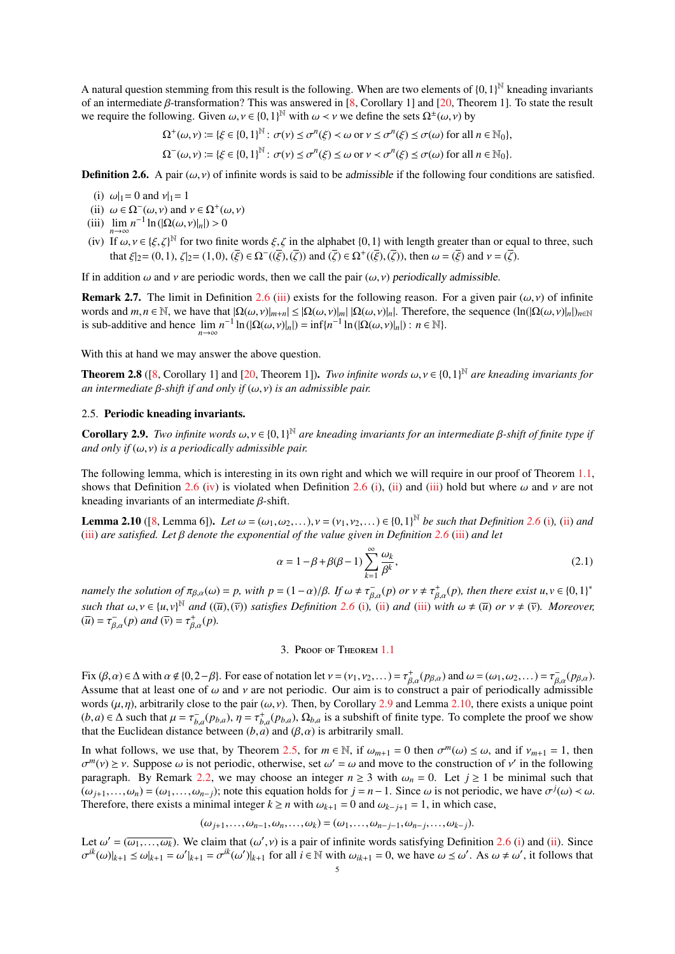A natural question stemming from this result is the following. When are two elements of  ${0,1}^N$  kneading invariants of an intermediate *8*-transformation? This was answered in [8] Corollary 11 and [20] Theorem 11. To st of an intermediate  $\beta$ -transformation? This was answered in [\[8,](#page-6-36) Corollary 1] and [\[20,](#page-6-35) Theorem 1]. To state the result we require the following. Given  $\omega, \nu \in \{0,1\}^{\mathbb{N}}$  with  $\omega \prec \nu$  we define the sets  $\Omega^{\pm}(\omega,\nu)$  by

$$
\Omega^+(\omega,\nu) := \{ \xi \in \{0,1\}^{\mathbb{N}} : \sigma(\nu) \le \sigma^n(\xi) < \omega \text{ or } \nu \le \sigma^n(\xi) \le \sigma(\omega) \text{ for all } n \in \mathbb{N}_0 \},
$$

 $\Omega^-(\omega,\nu) := {\{\xi \in \{0,1\}^\mathbb{N} : \sigma(\nu) \leq \sigma^n(\xi) \leq \omega \text{ or } \nu < \sigma^n(\xi) \leq \sigma(\omega) \text{ for all } n \in \mathbb{N}_0\}}.$ 

<span id="page-4-0"></span>**Definition 2.6.** A pair ( $\omega$ ,  $\nu$ ) of infinite words is said to be admissible if the following four conditions are satisfied.

- <span id="page-4-3"></span>(i)  $\omega|_1=0$  and  $\nu|_1=1$
- <span id="page-4-4"></span>(ii)  $\omega \in \Omega^-(\omega, v)$  and  $v \in \Omega^+(\omega, v)$ <br>(iii)  $\lim_{n \to \infty} n^{-1} \ln(|\Omega(\omega, v)|_n|) > 0$
- <span id="page-4-1"></span>
- <span id="page-4-2"></span>(iv) If  $\omega, \nu \in \{\xi, \zeta\}^{\mathbb{N}}$  for two finite words  $\xi, \zeta$  in the alphabet {0,1} with length greater than or equal to three, such that  $\xi |_{\zeta} = (0,1)$ ,  $\zeta |_{\zeta} = (1,0)$ ,  $\overline{\zeta} \ge \mathbf{O}^+(\overline{\zeta})$ ,  $\overline{\zeta} \ge \mathbf{O}^$ that  $\xi|_2 = (0,1), \zeta|_2 = (1,0), (\overline{\xi}) \in \Omega^-(\overline{\xi}), (\overline{\zeta})$  and  $(\overline{\zeta}) \in \Omega^+(\overline{\xi}), (\overline{\zeta})$ , then  $\omega = (\overline{\xi})$  and  $\nu = (\overline{\zeta})$ .

If in addition  $\omega$  and  $\nu$  are periodic words, then we call the pair  $(\omega, \nu)$  periodically admissible.

<span id="page-4-7"></span>**Remark 2.7.** The limit in Definition [2.6](#page-4-0) [\(iii\)](#page-4-1) exists for the following reason. For a given pair  $(\omega, \nu)$  of infinite words and  $m, n \in \mathbb{N}$ , we have that  $|\Omega(\omega, v)|_{m+n}| \leq |\Omega(\omega, v)|_m| |\Omega(\omega, v)|_n|$ . Therefore, the sequence  $(\ln(|\Omega(\omega, v)|_n))_{n \in \mathbb{N}}$ is sub-additive and hence  $\lim_{n\to\infty} n^{-1} \ln(|\Omega(\omega, \nu)|_n|) = \inf\{n^{-1} \ln(|\Omega(\omega, \nu)|_n|) : n \in \mathbb{N}\}.$ 

With this at hand we may answer the above question.

**Theorem 2.8** ([\[8,](#page-6-36) Corollary 1] and [\[20,](#page-6-35) Theorem 1]). *Two infinite words*  $\omega, \nu \in \{0,1\}^{\mathbb{N}}$  *are kneading invariants for* an intermediate *R*-shift if and only if  $(\omega, \nu)$  is an admissible pair *an intermediate* β*-shift if and only if* (ω,ν) *is an admissible pair.*

# 2.5. Periodic kneading invariants.

<span id="page-4-5"></span>**Corollary 2.9.** *Two infinite words* ω,ν ∈ {0,1}<sup>N</sup> are kneading invariants for an intermediate β-shift of finite type if and only if  $(ω, y)$  is a periodically admissible pair *and only if*  $(\omega, v)$  *is a periodically admissible pair.* 

The following lemma, which is interesting in its own right and which we will require in our proof of Theorem [1.1,](#page-1-2) shows that Definition [2.6](#page-4-0) [\(iv\)](#page-4-2) is violated when Definition 2.6 [\(i\)](#page-4-3), [\(ii\)](#page-4-4) and [\(iii\)](#page-4-1) hold but where  $\omega$  and  $\nu$  are not kneading invariants of an intermediate  $\beta$ -shift.

<span id="page-4-6"></span>**Lemma 2.10** ([\[8,](#page-6-36) Lemma 6]). Let  $\omega = (\omega_1, \omega_2, \dots)$ ,  $v = (v_1, v_2, \dots) \in \{0, 1\}^{\mathbb{N}}$  be such that Definition [2.6](#page-4-0) [\(i\)](#page-4-3), [\(ii\)](#page-4-4) and  $\omega$  (iii) are satisfied. Let R denote the exponential of the value given in Definition 2.6 [\(iii\)](#page-4-1) *are satisfied. Let* β *denote the exponential of the value given in Definition [2.6](#page-4-0)* [\(iii\)](#page-4-1) *and let*

<span id="page-4-8"></span>
$$
\alpha = 1 - \beta + \beta(\beta - 1) \sum_{k=1}^{\infty} \frac{\omega_k}{\beta^k},
$$
\n(2.1)

*namely the solution of*  $\pi_{\beta,\alpha}(\omega) = p$ , with  $p = (1-\alpha)/\beta$ *. If*  $\omega \neq \tau_{\beta,\alpha}^+(p)$  *or*  $\nu \neq \tau_{\beta,\alpha}^+(p)$ *, then there exist*  $u, v \in \{0,1\}^*$ *such that*  $\omega, \nu \in \{u, v\}^{\mathbb{N}}$  *and*  $((\overline{u}), (\overline{v}))$  *satisfies Definition* [2.6](#page-4-0) [\(i\)](#page-4-3), [\(ii\)](#page-4-4) *and* [\(iii\)](#page-4-1) *with*  $\omega \neq (\overline{u})$  *or*  $v \neq (\overline{v})$ *. Moreover,*<br> $(\overline{u}) - \tau^{\text{-}}$  (*n*) *and*  $(\overline{v}) - \tau^{\text{+}}$  (*n*)  $(\overline{u}) = \tau_{\beta,\alpha}^-(p)$  *and*  $(\overline{v}) = \tau_{\beta,\alpha}^+(p)$ *.* 

# 3. Proof of Theorem [1.1](#page-1-2)

Fix (β, α) ∈ Δ with α ∉ {0, 2 − β}. For ease of notation let  $v = (v_1, v_2,...) = \tau_{\beta,\alpha}^+ (p_{\beta,\alpha})$  and  $ω = (ω_1, ω_2,...) = \tau_{\beta,\alpha}^- (p_{\beta,\alpha})$ .<br>A ssume that at least one of ω and y are not periodic. Our aim is to construct a pair Assume that at least one of  $\omega$  and  $\nu$  are not periodic. Our aim is to construct a pair of periodically admissible words  $(\mu, \eta)$ , arbitrarily close to the pair  $(\omega, \nu)$ . Then, by Corollary [2.9](#page-4-5) and Lemma [2.10,](#page-4-6) there exists a unique point  $(b, a) \in \Delta$  such that  $\mu = \tau_{b,a}^+(p_{b,a}), \eta = \tau_{b,a}^+(p_{b,a}), \Omega_{b,a}$  is a subshift of finite type. To complete the proof we show that the Euclidean distance between  $(b, a)$  and  $(B, \alpha)$  is arbitrarily small that the Euclidean distance between  $(b,a)$  and  $(\beta,\alpha)$  is arbitrarily small.

In what follows, we use that, by Theorem [2.5,](#page-3-0) for  $m \in \mathbb{N}$ , if  $\omega_{m+1} = 0$  then  $\sigma^m(\omega) \leq \omega$ , and if  $v_{m+1} = 1$ , then  $\sigma^m(\omega) \geq v$ . Suppose  $\omega$  is not periodic, otherwise, set  $\omega' = \omega$  and move to the constructio paragraph. By Remark [2.2,](#page-2-1) we may choose an integer  $n \ge 3$  with  $\omega_n = 0$ . Let  $j \ge 1$  be minimal such that  $m(v) \ge v$ . Suppose  $\omega$  is not periodic, otherwise, set  $\omega' = \omega$  and move to the construction of v' in the following  $(\omega_{j+1},...,\omega_n) = (\omega_1,...,\omega_{n-j})$ ; note this equation holds for  $j = n-1$ . Since  $\omega$  is not periodic, we have  $\sigma^j(\omega) < \omega$ .<br>Therefore, there exists a minimal integer  $k > n$  with  $\omega_{k-1} = 0$  and  $\omega_{k-1} = 1$  in which case. Therefore, there exists a minimal integer  $k \ge n$  with  $\omega_{k+1} = 0$  and  $\omega_{k-i+1} = 1$ , in which case,

$$
(\omega_{j+1},\ldots,\omega_{n-1},\omega_n,\ldots,\omega_k)=(\omega_1,\ldots,\omega_{n-j-1},\omega_{n-j},\ldots,\omega_{k-j}).
$$

Let  $\omega' = (\overline{\omega_1, \dots, \omega_k})$ . We claim that  $(\omega', v)$  is a pair of infinite words satisfying Definition [2.6](#page-4-0) [\(i\)](#page-4-3) and [\(ii\)](#page-4-4). Since  $\sigma^{ik}(\omega)$  is  $\tau \propto (\omega' + \sigma'^{k})$  is  $\tau \propto (\omega' + \sigma'^{k})$  is  $\sigma^{ik}(\omega')$  is  $\tau \propto (\omega' + \sigma'^{k})$  is  $\tau \propto (\$  $\sigma^{ik}(\omega)|_{k+1} \leq \omega|_{k+1} = \omega'|_{k+1} = \sigma^{ik}(\omega')|_{k+1}$  for all  $i \in \mathbb{N}$  with  $\omega_{ik+1} = 0$ , we have  $\omega \leq \omega'$ . As  $\omega \neq \omega'$ , it follows that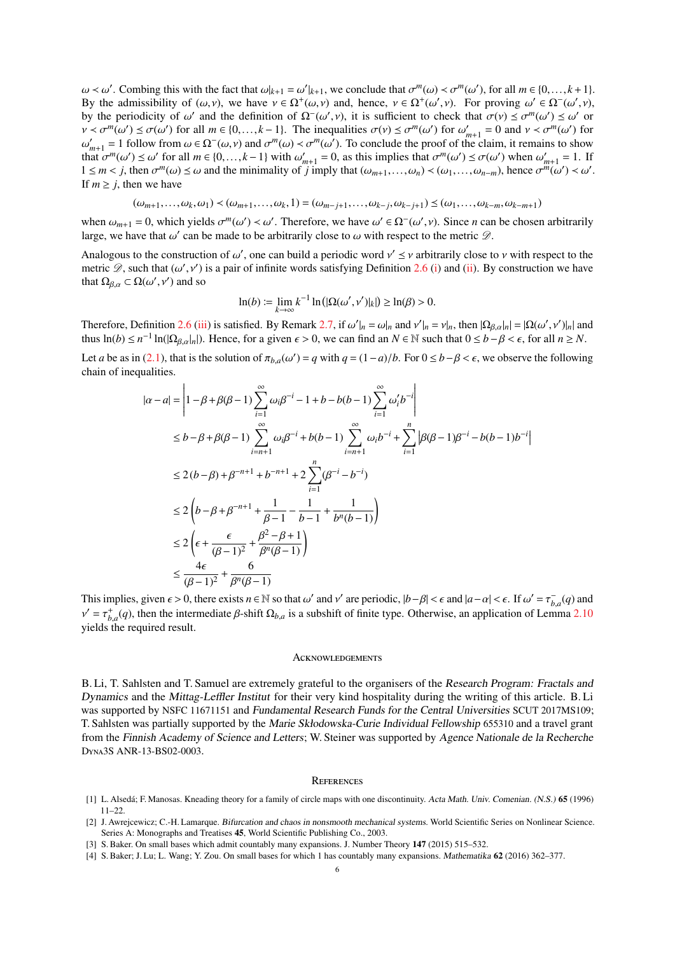$\omega < \omega'$ . Combing this with the fact that  $\omega|_{k+1} = \omega'|_{k+1}$ , we conclude that  $\sigma^m(\omega) < \sigma^m(\omega')$ , for all  $m \in \{0, \ldots, k+1\}$ .<br>By the admissibility of  $(\omega, y)$ , we have  $y \in \Omega^+(x, y)$  and hence  $y \in \Omega^+(x', y)$ . For proving  $\$ By the admissibility of  $(\omega, \nu)$ , we have  $\nu \in \Omega^+(\omega, \nu)$  and, hence,  $\nu \in \Omega^+(\omega', \nu)$ . For proving  $\omega' \in \Omega^-(\omega', \nu)$ , by the periodicity of  $\omega'$  and the definition of  $\Omega^-(\omega', \nu)$ , it is sufficient to check that  $\sigma(\nu) \prec$ by the periodicity of  $\omega'$  and the definition of  $\Omega^-(\omega', v)$ , it is sufficient to check that  $\sigma(v) \le \sigma^m(\omega') \le \omega'$  or  $v \le \sigma^m(\omega') \le \sigma^m(\omega')$  for  $\omega' = 0$  and  $v \le \sigma^m(\omega')$  for  $v < \sigma^m(\omega') \le \sigma(\omega')$  for all  $m \in \{0, ..., k-1\}$ . The inequalities  $\sigma(v) \le \sigma^m(\omega')$  for  $\omega'_{m+1} = 0$  and  $v < \sigma^m(\omega')$  for  $\omega'_{m+1} = 1$  follow from  $\omega \in \mathcal{O}^-(\omega, v)$  and  $\sigma^m(\omega) < \sigma^m(\omega')$ . To conclude the proof of the claim it  $m+1$ <br>that  $\sigma^m(\omega') \leq \omega'$  for all  $m \in \{0, ..., k-1\}$  with  $\omega'_{m+1} = 0$ , as this implies that  $\sigma^m(\omega') \leq \sigma(\omega')$  when  $\omega'_{m+1} = 1$ . If<br>1 < *m* < *i* then  $\sigma^m(\omega) \leq \omega$  and the minimality of *i* imply that  $(\omega, \omega) \leq (\omega, \omega$  $\alpha_{m+1}$  = 1 follow from  $\omega \in \Omega^{-}(\omega, \nu)$  and  $\sigma^{m}(\omega) \prec \sigma^{m}(\omega')$ . To conclude the proof of the claim, it remains to show  $\sigma^{m}(\omega') \prec \omega'$  for all  $m \in \{0, \ldots, k-1\}$  with  $\omega' = 0$  as this implies that  $\sigma^{m}(\omega') \prec \sigma(\omega')$   $1 \le m < j$ , then  $\sigma^m(\omega) \le \omega$  and the minimality of *j* imply that  $(\omega_{m+1},...,\omega_n) < (\omega_1,...,\omega_{n-m})$ , hence  $\sigma^{m}(\omega') < \omega'$ .<br>If *m* > *i* then we have If  $m \geq j$ , then we have

$$
(\omega_{m+1},\ldots,\omega_k,\omega_1) \prec (\omega_{m+1},\ldots,\omega_k,1) = (\omega_{m-j+1},\ldots,\omega_{k-j},\omega_{k-j+1}) \leq (\omega_1,\ldots,\omega_{k-m},\omega_{k-m+1})
$$

when  $\omega_{m+1} = 0$ , which yields  $\sigma^m(\omega') < \omega'$ . Therefore, we have  $\omega' \in \Omega^-(\omega', \nu)$ . Since *n* can be chosen arbitrarily large we have that  $\omega'$  can be made to be arbitrarily close to  $\omega$  with respect to the metric  $\mathcal$ large, we have that  $\omega'$  can be made to be arbitrarily close to  $\omega$  with respect to the metric  $\mathscr{D}$ .

Analogous to the construction of  $\omega'$ , one can build a periodic word  $\nu' \le \nu$  arbitrarily close to  $\nu$  with respect to the metric  $\mathcal{D}$  such that  $(\omega' \nu')$  is a pair of infinite words satisfying Definition 2.6 (i) an metric  $\mathcal{D}_s$ , such that  $(\omega', v')$  is a pair of infinite words satisfying Definition [2.6](#page-4-0) [\(i\)](#page-4-3) and [\(ii\)](#page-4-4). By construction we have that  $\Omega_{\beta,\alpha} \subset \Omega(\omega',\nu')$  and so

$$
\ln(b) := \lim_{k \to \infty} k^{-1} \ln(|\Omega(\omega', \nu')|_k|) \ge \ln(\beta) > 0.
$$

Therefore, Definition [2.6](#page-4-0) [\(iii\)](#page-4-1) is satisfied. By Remark [2.7,](#page-4-7) if  $\omega'|_n = \omega|_n$  and  $\nu'|_n = \nu|_n$ , then  $|\Omega_{\beta,\alpha}|_n| = |\Omega(\omega',\nu')|_n|$  and thus  $|\Omega(\alpha)| \leq n^{-1} \ln(|\Omega_{\beta,1}|)$ . Hence, for a given  $\epsilon > 0$ , we can find an  $N \in \mathbb{N}$  thus  $\ln(b) \le n^{-1} \ln(|\Omega_{\beta,\alpha}|_n|)$ . Hence, for a given  $\epsilon > 0$ , we can find an  $N \in \mathbb{N}$  such that  $0 \le b - \beta < \epsilon$ , for all  $n \ge N$ .

Let *a* be as in [\(2.1\)](#page-4-8), that is the solution of  $\pi_{b,a}(\omega') = q$  with  $q = (1-a)/b$ . For  $0 \le b - \beta < \epsilon$ , we observe the following chain of inequalities chain of inequalities.

$$
|\alpha - a| = \left| 1 - \beta + \beta(\beta - 1) \sum_{i=1}^{\infty} \omega_i \beta^{-i} - 1 + b - b(b - 1) \sum_{i=1}^{\infty} \omega_i' b^{-i} \right|
$$
  
\n
$$
\leq b - \beta + \beta(\beta - 1) \sum_{i=n+1}^{\infty} \omega_i \beta^{-i} + b(b - 1) \sum_{i=n+1}^{\infty} \omega_i b^{-i} + \sum_{i=1}^n \left| \beta(\beta - 1) \beta^{-i} - b(b - 1) b^{-i} \right|
$$
  
\n
$$
\leq 2(b - \beta) + \beta^{-n+1} + b^{-n+1} + 2 \sum_{i=1}^n (\beta^{-i} - b^{-i})
$$
  
\n
$$
\leq 2\left(b - \beta + \beta^{-n+1} + \frac{1}{\beta - 1} - \frac{1}{b - 1} + \frac{1}{b^n(b - 1)}\right)
$$
  
\n
$$
\leq 2\left(\epsilon + \frac{\epsilon}{(\beta - 1)^2} + \frac{\beta^2 - \beta + 1}{\beta^n(\beta - 1)}\right)
$$
  
\n
$$
\leq \frac{4\epsilon}{(\beta - 1)^2} + \frac{6}{\beta^n(\beta - 1)}
$$

This implies, given  $\epsilon > 0$ , there exists  $n \in \mathbb{N}$  so that  $\omega'$  and  $\nu'$  are periodic,  $|b-\beta| < \epsilon$  and  $|a-\alpha| < \epsilon$ . If  $\omega' = \tau_{b,a}^+(q)$  and  $\nu' = \tau^+(q)$ , then the intermediate  $\theta$  chiff  $Q_1$ , is a subshift of finite *b*, *a* is a subshift of finite type. Otherwise, an application of Lemma [2.10](#page-4-6)<br>  $\mathcal{L} = \tau_{b,a}^+(q)$ , then the intermediate β-shift  $\Omega_{b,a}$  is a subshift of finite type. Otherwise, an application of Lemma 2.10<br>
ials the  $v = v_{b,a}(q)$ , then the liner<br>yields the required result.

### **ACKNOWLEDGEMENTS**

B. Li, T. Sahlsten and T. Samuel are extremely grateful to the organisers of the Research Program: Fractals and Dynamics and the Mittag-Leffler Institut for their very kind hospitality during the writing of this article. B. Li was supported by NSFC 11671151 and Fundamental Research Funds for the Central Universities SCUT 2017MS109; T. Sahlsten was partially supported by the Marie Skłodowska-Curie Individual Fellowship 655310 and a travel grant from the Finnish Academy of Science and Letters; W. Steiner was supported by Agence Nationale de la Recherche Dyna3S ANR-13-BS02-0003.

#### **REFERENCES**

<span id="page-5-3"></span>[1] L. Alsedá; F. Manosas. Kneading theory for a family of circle maps with one discontinuity. Acta Math. Univ. Comenian. (N.S.) 65 (1996) 11–22.

<span id="page-5-2"></span>[2] J. Awrejcewicz; C.-H. Lamarque. Bifurcation and chaos in nonsmooth mechanical systems. World Scientific Series on Nonlinear Science. Series A: Monographs and Treatises 45, World Scientific Publishing Co., 2003.

- <span id="page-5-0"></span>[3] S. Baker. On small bases which admit countably many expansions. J. Number Theory 147 (2015) 515–532.
- <span id="page-5-1"></span>[4] S. Baker; J. Lu; L. Wang; Y. Zou. On small bases for which 1 has countably many expansions. Mathematika 62 (2016) 362–377.